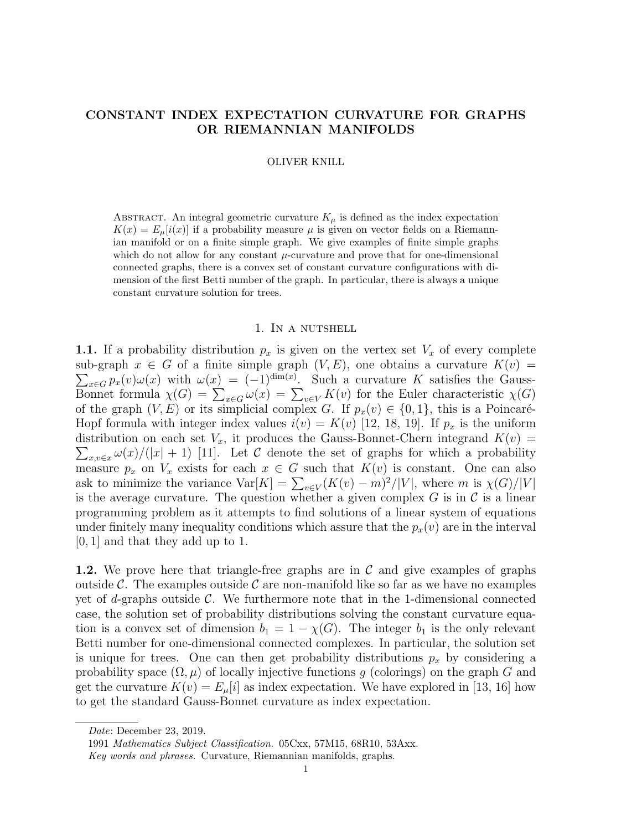# CONSTANT INDEX EXPECTATION CURVATURE FOR GRAPHS OR RIEMANNIAN MANIFOLDS

#### OLIVER KNILL

ABSTRACT. An integral geometric curvature  $K_{\mu}$  is defined as the index expectation  $K(x) = E_{\mu}[i(x)]$  if a probability measure  $\mu$  is given on vector fields on a Riemannian manifold or on a finite simple graph. We give examples of finite simple graphs which do not allow for any constant  $\mu$ -curvature and prove that for one-dimensional connected graphs, there is a convex set of constant curvature configurations with dimension of the first Betti number of the graph. In particular, there is always a unique constant curvature solution for trees.

### 1. In a nutshell

1.1. If a probability distribution  $p_x$  is given on the vertex set  $V_x$  of every complete sub-graph  $x \in G$  of a finite simple graph  $(V, E)$ , one obtains a curvature  $K(v) =$  $\sum_{x \in G} p_x(v) \omega(x)$  with  $\omega(x) = (-1)^{\dim(x)}$ . Such a curvature K satisfies the Gauss-Bonnet formula  $\chi(G) = \sum_{x \in G} \omega(x) = \sum_{v \in V} K(v)$  for the Euler characteristic  $\chi(G)$ of the graph  $(V, E)$  or its simplicial complex G. If  $p_x(v) \in \{0, 1\}$ , this is a Poincaré-Hopf formula with integer index values  $i(v) = K(v)$  [12, 18, 19]. If  $p_x$  is the uniform  $\sum_{x,v\in x}\omega(x)/(|x|+1)$  [11]. Let C denote the set of graphs for which a probability distribution on each set  $V_x$ , it produces the Gauss-Bonnet-Chern integrand  $K(v)$  = measure  $p_x$  on  $V_x$  exists for each  $x \in G$  such that  $K(v)$  is constant. One can also ask to minimize the variance  $Var[K] = \sum_{v \in V} (K(v) - m)^2 / |V|$ , where m is  $\chi(G)/|V|$ is the average curvature. The question whether a given complex  $G$  is in  $\mathcal C$  is a linear programming problem as it attempts to find solutions of a linear system of equations under finitely many inequality conditions which assure that the  $p_x(v)$  are in the interval [0, 1] and that they add up to 1.

1.2. We prove here that triangle-free graphs are in  $\mathcal C$  and give examples of graphs outside C. The examples outside C are non-manifold like so far as we have no examples yet of d-graphs outside  $\mathcal{C}$ . We furthermore note that in the 1-dimensional connected case, the solution set of probability distributions solving the constant curvature equation is a convex set of dimension  $b_1 = 1 - \chi(G)$ . The integer  $b_1$  is the only relevant Betti number for one-dimensional connected complexes. In particular, the solution set is unique for trees. One can then get probability distributions  $p_x$  by considering a probability space  $(\Omega, \mu)$  of locally injective functions g (colorings) on the graph G and get the curvature  $K(v) = E_{\mu}[i]$  as index expectation. We have explored in [13, 16] how to get the standard Gauss-Bonnet curvature as index expectation.

Date: December 23, 2019.

<sup>1991</sup> Mathematics Subject Classification. 05Cxx, 57M15, 68R10, 53Axx.

Key words and phrases. Curvature, Riemannian manifolds, graphs.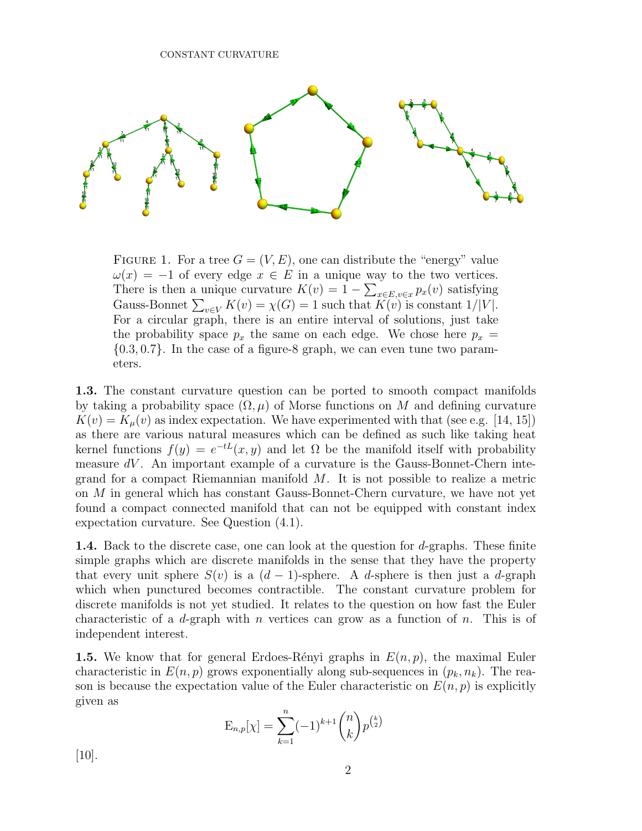

FIGURE 1. For a tree  $G = (V, E)$ , one can distribute the "energy" value  $\omega(x) = -1$  of every edge  $x \in E$  in a unique way to the two vertices. There is then a unique curvature  $K(v) = 1 - \sum_{x \in E, v \in x} p_x(v)$  satisfying Gauss-Bonnet  $\sum_{v \in V} K(v) = \chi(G) = 1$  such that  $K(v)$  is constant  $1/|V|$ . For a circular graph, there is an entire interval of solutions, just take the probability space  $p_x$  the same on each edge. We chose here  $p_x =$  $\{0.3, 0.7\}$ . In the case of a figure-8 graph, we can even tune two parameters.

1.3. The constant curvature question can be ported to smooth compact manifolds by taking a probability space  $(\Omega, \mu)$  of Morse functions on M and defining curvature  $K(v) = K_{\mu}(v)$  as index expectation. We have experimented with that (see e.g. [14, 15]) as there are various natural measures which can be defined as such like taking heat kernel functions  $f(y) = e^{-tL}(x, y)$  and let  $\Omega$  be the manifold itself with probability measure  $dV$ . An important example of a curvature is the Gauss-Bonnet-Chern integrand for a compact Riemannian manifold  $M$ . It is not possible to realize a metric on M in general which has constant Gauss-Bonnet-Chern curvature, we have not yet found a compact connected manifold that can not be equipped with constant index expectation curvature. See Question (4.1).

**1.4.** Back to the discrete case, one can look at the question for  $d$ -graphs. These finite simple graphs which are discrete manifolds in the sense that they have the property that every unit sphere  $S(v)$  is a  $(d-1)$ -sphere. A d-sphere is then just a d-graph which when punctured becomes contractible. The constant curvature problem for discrete manifolds is not yet studied. It relates to the question on how fast the Euler characteristic of a d-graph with n vertices can grow as a function of n. This is of independent interest.

**1.5.** We know that for general Erdoes-Rényi graphs in  $E(n, p)$ , the maximal Euler characteristic in  $E(n, p)$  grows exponentially along sub-sequences in  $(p_k, n_k)$ . The reason is because the expectation value of the Euler characteristic on  $E(n, p)$  is explicitly given as

$$
E_{n,p}[\chi] = \sum_{k=1}^{n} (-1)^{k+1} \binom{n}{k} p^{\binom{k}{2}}
$$

[10].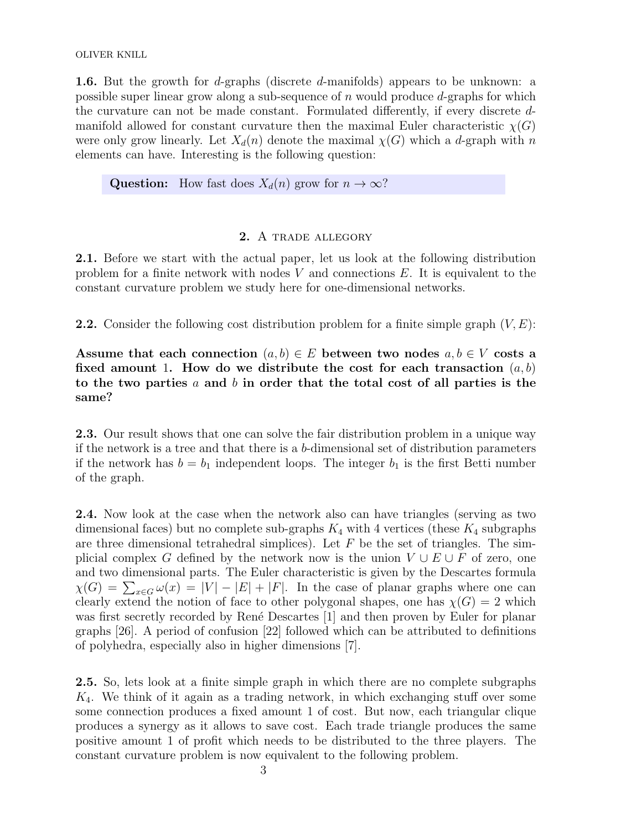1.6. But the growth for d-graphs (discrete d-manifolds) appears to be unknown: a possible super linear grow along a sub-sequence of  $n$  would produce  $d$ -graphs for which the curvature can not be made constant. Formulated differently, if every discrete dmanifold allowed for constant curvature then the maximal Euler characteristic  $\chi(G)$ were only grow linearly. Let  $X_d(n)$  denote the maximal  $\chi(G)$  which a d-graph with n elements can have. Interesting is the following question:

Question: How fast does  $X_d(n)$  grow for  $n \to \infty$ ?

## 2. A trade allegory

2.1. Before we start with the actual paper, let us look at the following distribution problem for a finite network with nodes  $V$  and connections  $E$ . It is equivalent to the constant curvature problem we study here for one-dimensional networks.

**2.2.** Consider the following cost distribution problem for a finite simple graph  $(V, E)$ :

Assume that each connection  $(a, b) \in E$  between two nodes  $a, b \in V$  costs a fixed amount 1. How do we distribute the cost for each transaction  $(a, b)$ to the two parties a and b in order that the total cost of all parties is the same?

**2.3.** Our result shows that one can solve the fair distribution problem in a unique way if the network is a tree and that there is a b-dimensional set of distribution parameters if the network has  $b = b_1$  independent loops. The integer  $b_1$  is the first Betti number of the graph.

2.4. Now look at the case when the network also can have triangles (serving as two dimensional faces) but no complete sub-graphs  $K_4$  with 4 vertices (these  $K_4$  subgraphs are three dimensional tetrahedral simplices). Let  $F$  be the set of triangles. The simplicial complex G defined by the network now is the union  $V \cup E \cup F$  of zero, one and two dimensional parts. The Euler characteristic is given by the Descartes formula  $\chi(G) = \sum_{x \in G} \omega(x) = |V| - |E| + |F|$ . In the case of planar graphs where one can clearly extend the notion of face to other polygonal shapes, one has  $\chi(G) = 2$  which was first secretly recorded by René Descartes [1] and then proven by Euler for planar graphs [26]. A period of confusion [22] followed which can be attributed to definitions of polyhedra, especially also in higher dimensions [7].

2.5. So, lets look at a finite simple graph in which there are no complete subgraphs  $K_4$ . We think of it again as a trading network, in which exchanging stuff over some some connection produces a fixed amount 1 of cost. But now, each triangular clique produces a synergy as it allows to save cost. Each trade triangle produces the same positive amount 1 of profit which needs to be distributed to the three players. The constant curvature problem is now equivalent to the following problem.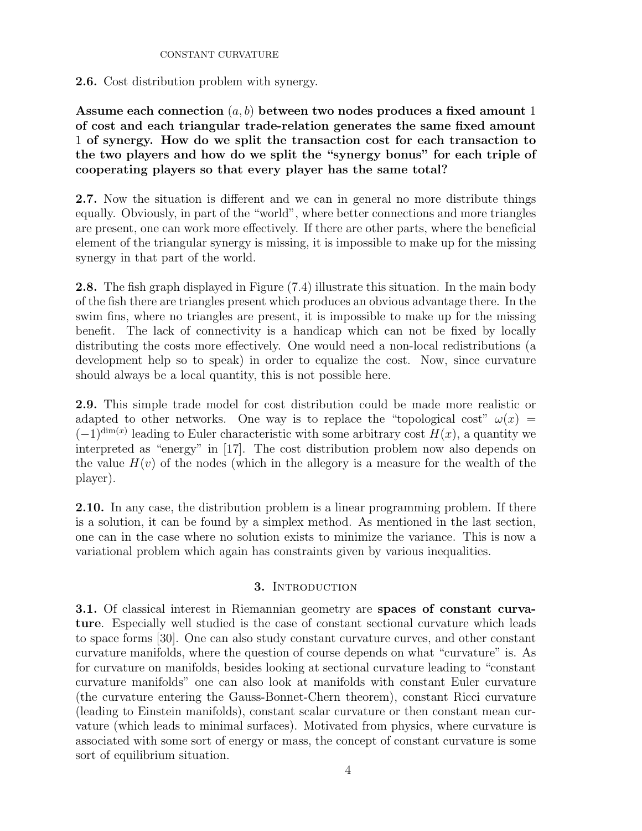## 2.6. Cost distribution problem with synergy.

Assume each connection  $(a, b)$  between two nodes produces a fixed amount 1 of cost and each triangular trade-relation generates the same fixed amount 1 of synergy. How do we split the transaction cost for each transaction to the two players and how do we split the "synergy bonus" for each triple of cooperating players so that every player has the same total?

2.7. Now the situation is different and we can in general no more distribute things equally. Obviously, in part of the "world", where better connections and more triangles are present, one can work more effectively. If there are other parts, where the beneficial element of the triangular synergy is missing, it is impossible to make up for the missing synergy in that part of the world.

2.8. The fish graph displayed in Figure (7.4) illustrate this situation. In the main body of the fish there are triangles present which produces an obvious advantage there. In the swim fins, where no triangles are present, it is impossible to make up for the missing benefit. The lack of connectivity is a handicap which can not be fixed by locally distributing the costs more effectively. One would need a non-local redistributions (a development help so to speak) in order to equalize the cost. Now, since curvature should always be a local quantity, this is not possible here.

2.9. This simple trade model for cost distribution could be made more realistic or adapted to other networks. One way is to replace the "topological cost"  $\omega(x)$  =  $(-1)^{\dim(x)}$  leading to Euler characteristic with some arbitrary cost  $H(x)$ , a quantity we interpreted as "energy" in [17]. The cost distribution problem now also depends on the value  $H(v)$  of the nodes (which in the allegory is a measure for the wealth of the player).

2.10. In any case, the distribution problem is a linear programming problem. If there is a solution, it can be found by a simplex method. As mentioned in the last section, one can in the case where no solution exists to minimize the variance. This is now a variational problem which again has constraints given by various inequalities.

## 3. INTRODUCTION

3.1. Of classical interest in Riemannian geometry are spaces of constant curvature. Especially well studied is the case of constant sectional curvature which leads to space forms [30]. One can also study constant curvature curves, and other constant curvature manifolds, where the question of course depends on what "curvature" is. As for curvature on manifolds, besides looking at sectional curvature leading to "constant curvature manifolds" one can also look at manifolds with constant Euler curvature (the curvature entering the Gauss-Bonnet-Chern theorem), constant Ricci curvature (leading to Einstein manifolds), constant scalar curvature or then constant mean curvature (which leads to minimal surfaces). Motivated from physics, where curvature is associated with some sort of energy or mass, the concept of constant curvature is some sort of equilibrium situation.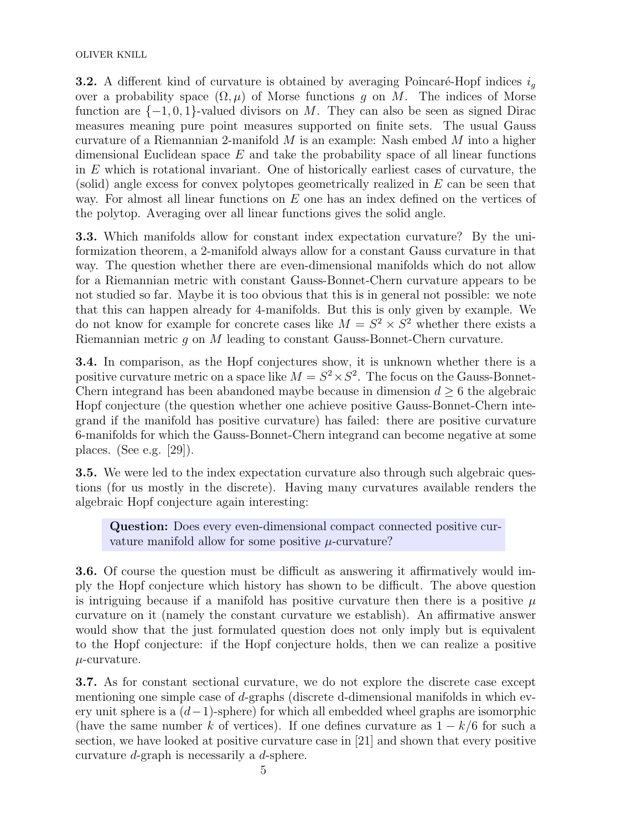**3.2.** A different kind of curvature is obtained by averaging Poincaré-Hopf indices  $i<sub>g</sub>$ over a probability space  $(\Omega, \mu)$  of Morse functions g on M. The indices of Morse function are  $\{-1, 0, 1\}$ -valued divisors on M. They can also be seen as signed Dirac measures meaning pure point measures supported on finite sets. The usual Gauss curvature of a Riemannian 2-manifold  $M$  is an example: Nash embed  $M$  into a higher dimensional Euclidean space  $E$  and take the probability space of all linear functions in E which is rotational invariant. One of historically earliest cases of curvature, the (solid) angle excess for convex polytopes geometrically realized in  $E$  can be seen that way. For almost all linear functions on E one has an index defined on the vertices of the polytop. Averaging over all linear functions gives the solid angle.

3.3. Which manifolds allow for constant index expectation curvature? By the uniformization theorem, a 2-manifold always allow for a constant Gauss curvature in that way. The question whether there are even-dimensional manifolds which do not allow for a Riemannian metric with constant Gauss-Bonnet-Chern curvature appears to be not studied so far. Maybe it is too obvious that this is in general not possible: we note that this can happen already for 4-manifolds. But this is only given by example. We do not know for example for concrete cases like  $M = S^2 \times S^2$  whether there exists a Riemannian metric g on M leading to constant Gauss-Bonnet-Chern curvature.

3.4. In comparison, as the Hopf conjectures show, it is unknown whether there is a positive curvature metric on a space like  $M = S^2 \times S^2$ . The focus on the Gauss-Bonnet-Chern integrand has been abandoned maybe because in dimension  $d \geq 6$  the algebraic Hopf conjecture (the question whether one achieve positive Gauss-Bonnet-Chern integrand if the manifold has positive curvature) has failed: there are positive curvature 6-manifolds for which the Gauss-Bonnet-Chern integrand can become negative at some places. (See e.g. [29]).

3.5. We were led to the index expectation curvature also through such algebraic questions (for us mostly in the discrete). Having many curvatures available renders the algebraic Hopf conjecture again interesting:

Question: Does every even-dimensional compact connected positive curvature manifold allow for some positive  $\mu$ -curvature?

3.6. Of course the question must be difficult as answering it affirmatively would imply the Hopf conjecture which history has shown to be difficult. The above question is intriguing because if a manifold has positive curvature then there is a positive  $\mu$ curvature on it (namely the constant curvature we establish). An affirmative answer would show that the just formulated question does not only imply but is equivalent to the Hopf conjecture: if the Hopf conjecture holds, then we can realize a positive  $\mu$ -curvature.

3.7. As for constant sectional curvature, we do not explore the discrete case except mentioning one simple case of d-graphs (discrete d-dimensional manifolds in which every unit sphere is a  $(d-1)$ -sphere) for which all embedded wheel graphs are isomorphic (have the same number k of vertices). If one defines curvature as  $1 - k/6$  for such a section, we have looked at positive curvature case in [21] and shown that every positive curvature d-graph is necessarily a d-sphere.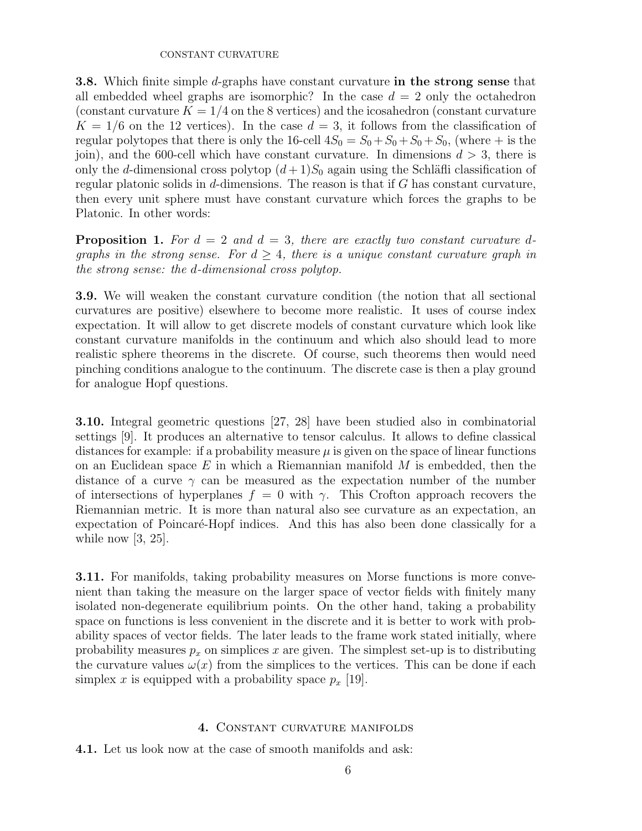3.8. Which finite simple d-graphs have constant curvature in the strong sense that all embedded wheel graphs are isomorphic? In the case  $d = 2$  only the octahedron (constant curvature  $K = 1/4$  on the 8 vertices) and the icosahedron (constant curvature  $K = 1/6$  on the 12 vertices). In the case  $d = 3$ , it follows from the classification of regular polytopes that there is only the 16-cell  $4S_0 = S_0 + S_0 + S_0 + S_0$ , (where  $+$  is the join), and the 600-cell which have constant curvature. In dimensions  $d > 3$ , there is only the d-dimensional cross polytop  $(d+1)S_0$  again using the Schläfli classification of regular platonic solids in  $d$ -dimensions. The reason is that if  $G$  has constant curvature, then every unit sphere must have constant curvature which forces the graphs to be Platonic. In other words:

**Proposition 1.** For  $d = 2$  and  $d = 3$ , there are exactly two constant curvature dgraphs in the strong sense. For  $d \geq 4$ , there is a unique constant curvature graph in the strong sense: the d-dimensional cross polytop.

3.9. We will weaken the constant curvature condition (the notion that all sectional curvatures are positive) elsewhere to become more realistic. It uses of course index expectation. It will allow to get discrete models of constant curvature which look like constant curvature manifolds in the continuum and which also should lead to more realistic sphere theorems in the discrete. Of course, such theorems then would need pinching conditions analogue to the continuum. The discrete case is then a play ground for analogue Hopf questions.

3.10. Integral geometric questions [27, 28] have been studied also in combinatorial settings [9]. It produces an alternative to tensor calculus. It allows to define classical distances for example: if a probability measure  $\mu$  is given on the space of linear functions on an Euclidean space  $E$  in which a Riemannian manifold  $M$  is embedded, then the distance of a curve  $\gamma$  can be measured as the expectation number of the number of intersections of hyperplanes  $f = 0$  with  $\gamma$ . This Crofton approach recovers the Riemannian metric. It is more than natural also see curvature as an expectation, an expectation of Poincaré-Hopf indices. And this has also been done classically for a while now  $[3, 25]$ .

3.11. For manifolds, taking probability measures on Morse functions is more convenient than taking the measure on the larger space of vector fields with finitely many isolated non-degenerate equilibrium points. On the other hand, taking a probability space on functions is less convenient in the discrete and it is better to work with probability spaces of vector fields. The later leads to the frame work stated initially, where probability measures  $p_x$  on simplices x are given. The simplest set-up is to distributing the curvature values  $\omega(x)$  from the simplices to the vertices. This can be done if each simplex x is equipped with a probability space  $p_x$  [19].

## 4. Constant curvature manifolds

4.1. Let us look now at the case of smooth manifolds and ask: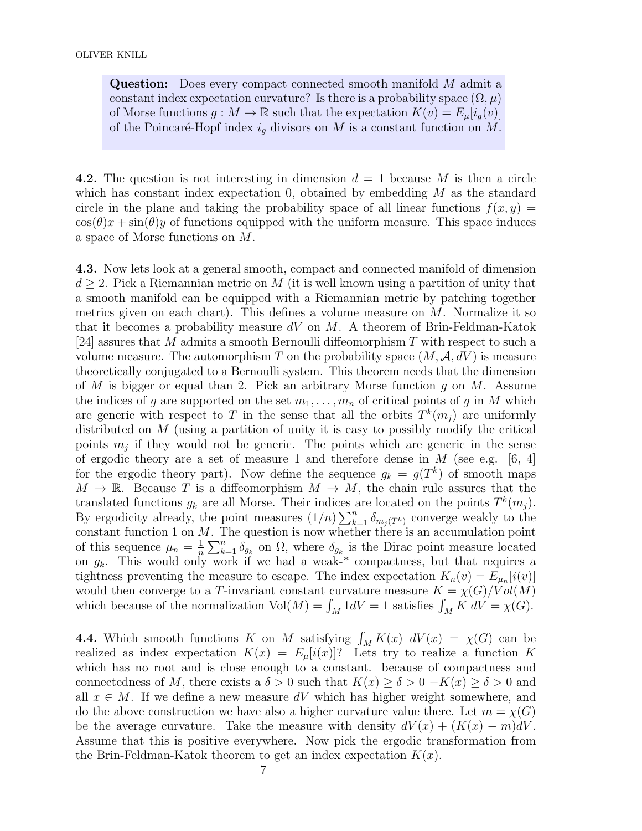Question: Does every compact connected smooth manifold M admit a constant index expectation curvature? Is there is a probability space  $(\Omega, \mu)$ of Morse functions  $g: M \to \mathbb{R}$  such that the expectation  $K(v) = E_{\mu}[i_g(v)]$ of the Poincaré-Hopf index  $i_q$  divisors on M is a constant function on M.

4.2. The question is not interesting in dimension  $d = 1$  because M is then a circle which has constant index expectation 0, obtained by embedding  $M$  as the standard circle in the plane and taking the probability space of all linear functions  $f(x, y) =$  $\cos(\theta)x + \sin(\theta)y$  of functions equipped with the uniform measure. This space induces a space of Morse functions on M.

4.3. Now lets look at a general smooth, compact and connected manifold of dimension  $d \geq 2$ . Pick a Riemannian metric on M (it is well known using a partition of unity that a smooth manifold can be equipped with a Riemannian metric by patching together metrics given on each chart). This defines a volume measure on  $M$ . Normalize it so that it becomes a probability measure  $dV$  on M. A theorem of Brin-Feldman-Katok [24] assures that M admits a smooth Bernoulli diffeomorphism T with respect to such a volume measure. The automorphism T on the probability space  $(M, \mathcal{A}, dV)$  is measure theoretically conjugated to a Bernoulli system. This theorem needs that the dimension of M is bigger or equal than 2. Pick an arbitrary Morse function  $g$  on  $M$ . Assume the indices of g are supported on the set  $m_1, \ldots, m_n$  of critical points of g in M which are generic with respect to T in the sense that all the orbits  $T^k(m_j)$  are uniformly distributed on M (using a partition of unity it is easy to possibly modify the critical points  $m_j$  if they would not be generic. The points which are generic in the sense of ergodic theory are a set of measure 1 and therefore dense in  $M$  (see e.g. [6, 4] for the ergodic theory part). Now define the sequence  $g_k = g(T^k)$  of smooth maps  $M \to \mathbb{R}$ . Because T is a diffeomorphism  $M \to M$ , the chain rule assures that the translated functions  $g_k$  are all Morse. Their indices are located on the points  $T^k(m_j)$ . By ergodicity already, the point measures  $(1/n) \sum_{k=1}^n \delta_{m_j(T^k)}$  converge weakly to the constant function 1 on  $M$ . The question is now whether there is an accumulation point of this sequence  $\mu_n = \frac{1}{n}$  $\frac{1}{n}\sum_{k=1}^n \delta_{g_k}$  on  $\Omega$ , where  $\delta_{g_k}$  is the Dirac point measure located on  $g_k$ . This would only work if we had a weak-\* compactness, but that requires a tightness preventing the measure to escape. The index expectation  $K_n(v) = E_{\mu_n}[i(v)]$ would then converge to a T-invariant constant curvature measure  $K = \chi(G)/Vol(M)$ which because of the normalization  $Vol(M) = \int_M 1 dV = 1$  satisfies  $\int_M K dV = \chi(G)$ .

**4.4.** Which smooth functions K on M satisfying  $\int_M K(x) dV(x) = \chi(G)$  can be realized as index expectation  $K(x) = E_{\mu}[i(x)]$ ? Lets try to realize a function K which has no root and is close enough to a constant. because of compactness and connectedness of M, there exists a  $\delta > 0$  such that  $K(x) \ge \delta > 0 - K(x) \ge \delta > 0$  and all  $x \in M$ . If we define a new measure dV which has higher weight somewhere, and do the above construction we have also a higher curvature value there. Let  $m = \chi(G)$ be the average curvature. Take the measure with density  $dV(x) + (K(x) - m)dV$ . Assume that this is positive everywhere. Now pick the ergodic transformation from the Brin-Feldman-Katok theorem to get an index expectation  $K(x)$ .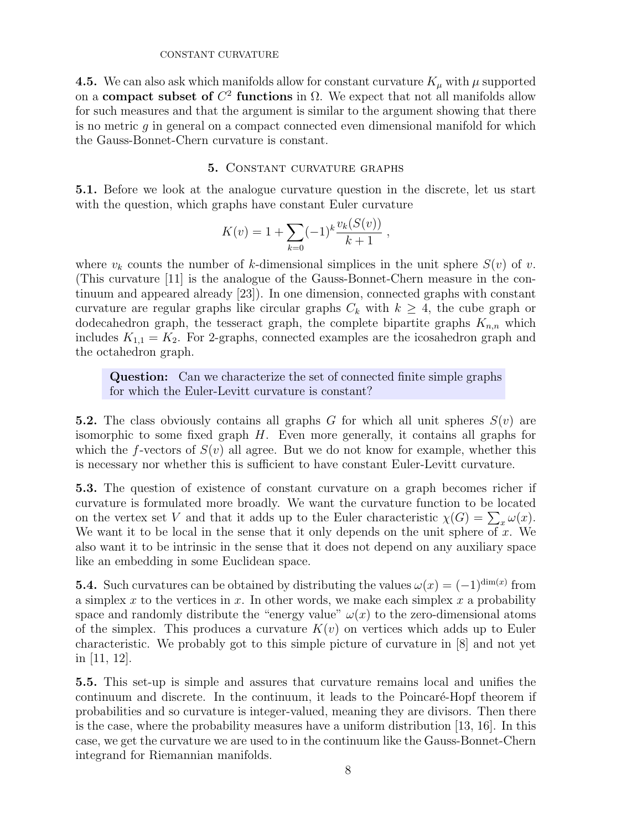4.5. We can also ask which manifolds allow for constant curvature  $K_{\mu}$  with  $\mu$  supported on a **compact subset of**  $C^2$  functions in  $\Omega$ . We expect that not all manifolds allow for such measures and that the argument is similar to the argument showing that there is no metric g in general on a compact connected even dimensional manifold for which the Gauss-Bonnet-Chern curvature is constant.

## 5. Constant curvature graphs

5.1. Before we look at the analogue curvature question in the discrete, let us start with the question, which graphs have constant Euler curvature

$$
K(v) = 1 + \sum_{k=0} (-1)^k \frac{v_k(S(v))}{k+1} ,
$$

where  $v_k$  counts the number of k-dimensional simplices in the unit sphere  $S(v)$  of v. (This curvature [11] is the analogue of the Gauss-Bonnet-Chern measure in the continuum and appeared already [23]). In one dimension, connected graphs with constant curvature are regular graphs like circular graphs  $C_k$  with  $k \geq 4$ , the cube graph or dodecahedron graph, the tesseract graph, the complete bipartite graphs  $K_{n,n}$  which includes  $K_{1,1} = K_2$ . For 2-graphs, connected examples are the icosahedron graph and the octahedron graph.

Question: Can we characterize the set of connected finite simple graphs for which the Euler-Levitt curvature is constant?

5.2. The class obviously contains all graphs G for which all unit spheres  $S(v)$  are isomorphic to some fixed graph H. Even more generally, it contains all graphs for which the f-vectors of  $S(v)$  all agree. But we do not know for example, whether this is necessary nor whether this is sufficient to have constant Euler-Levitt curvature.

5.3. The question of existence of constant curvature on a graph becomes richer if curvature is formulated more broadly. We want the curvature function to be located on the vertex set V and that it adds up to the Euler characteristic  $\chi(G) = \sum_x \omega(x)$ . We want it to be local in the sense that it only depends on the unit sphere of  $x$ . We also want it to be intrinsic in the sense that it does not depend on any auxiliary space like an embedding in some Euclidean space.

**5.4.** Such curvatures can be obtained by distributing the values  $\omega(x) = (-1)^{\dim(x)}$  from a simplex x to the vertices in x. In other words, we make each simplex x a probability space and randomly distribute the "energy value"  $\omega(x)$  to the zero-dimensional atoms of the simplex. This produces a curvature  $K(v)$  on vertices which adds up to Euler characteristic. We probably got to this simple picture of curvature in [8] and not yet in [11, 12].

5.5. This set-up is simple and assures that curvature remains local and unifies the continuum and discrete. In the continuum, it leads to the Poincaré-Hopf theorem if probabilities and so curvature is integer-valued, meaning they are divisors. Then there is the case, where the probability measures have a uniform distribution [13, 16]. In this case, we get the curvature we are used to in the continuum like the Gauss-Bonnet-Chern integrand for Riemannian manifolds.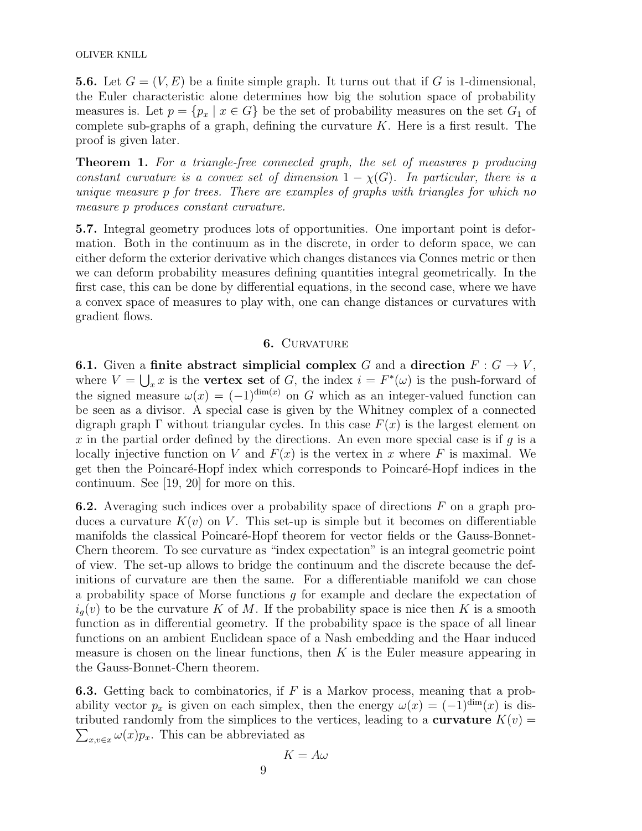OLIVER KNILL

**5.6.** Let  $G = (V, E)$  be a finite simple graph. It turns out that if G is 1-dimensional, the Euler characteristic alone determines how big the solution space of probability measures is. Let  $p = \{p_x \mid x \in G\}$  be the set of probability measures on the set  $G_1$  of complete sub-graphs of a graph, defining the curvature  $K$ . Here is a first result. The proof is given later.

Theorem 1. For a triangle-free connected graph, the set of measures p producing constant curvature is a convex set of dimension  $1 - \chi(G)$ . In particular, there is a unique measure p for trees. There are examples of graphs with triangles for which no measure p produces constant curvature.

5.7. Integral geometry produces lots of opportunities. One important point is deformation. Both in the continuum as in the discrete, in order to deform space, we can either deform the exterior derivative which changes distances via Connes metric or then we can deform probability measures defining quantities integral geometrically. In the first case, this can be done by differential equations, in the second case, where we have a convex space of measures to play with, one can change distances or curvatures with gradient flows.

### 6. CURVATURE

**6.1.** Given a finite abstract simplicial complex G and a direction  $F: G \to V$ , where  $V = \bigcup_{x} x$  is the **vertex set** of G, the index  $i = F^*(\omega)$  is the push-forward of the signed measure  $\omega(x) = (-1)^{\dim(x)}$  on G which as an integer-valued function can be seen as a divisor. A special case is given by the Whitney complex of a connected digraph graph  $\Gamma$  without triangular cycles. In this case  $F(x)$  is the largest element on x in the partial order defined by the directions. An even more special case is if q is a locally injective function on V and  $F(x)$  is the vertex in x where F is maximal. We get then the Poincaré-Hopf index which corresponds to Poincaré-Hopf indices in the continuum. See [19, 20] for more on this.

**6.2.** Averaging such indices over a probability space of directions  $F$  on a graph produces a curvature  $K(v)$  on V. This set-up is simple but it becomes on differentiable manifolds the classical Poincaré-Hopf theorem for vector fields or the Gauss-Bonnet-Chern theorem. To see curvature as "index expectation" is an integral geometric point of view. The set-up allows to bridge the continuum and the discrete because the definitions of curvature are then the same. For a differentiable manifold we can chose a probability space of Morse functions  $q$  for example and declare the expectation of  $i_q(v)$  to be the curvature K of M. If the probability space is nice then K is a smooth function as in differential geometry. If the probability space is the space of all linear functions on an ambient Euclidean space of a Nash embedding and the Haar induced measure is chosen on the linear functions, then  $K$  is the Euler measure appearing in the Gauss-Bonnet-Chern theorem.

**6.3.** Getting back to combinatorics, if  $F$  is a Markov process, meaning that a probability vector  $p_x$  is given on each simplex, then the energy  $\omega(x) = (-1)^{\dim}(x)$  is dis- $\sum_{x,v\in x}\omega(x)p_x$ . This can be abbreviated as tributed randomly from the simplices to the vertices, leading to a **curvature**  $K(v)$  =

$$
K=A\omega
$$

9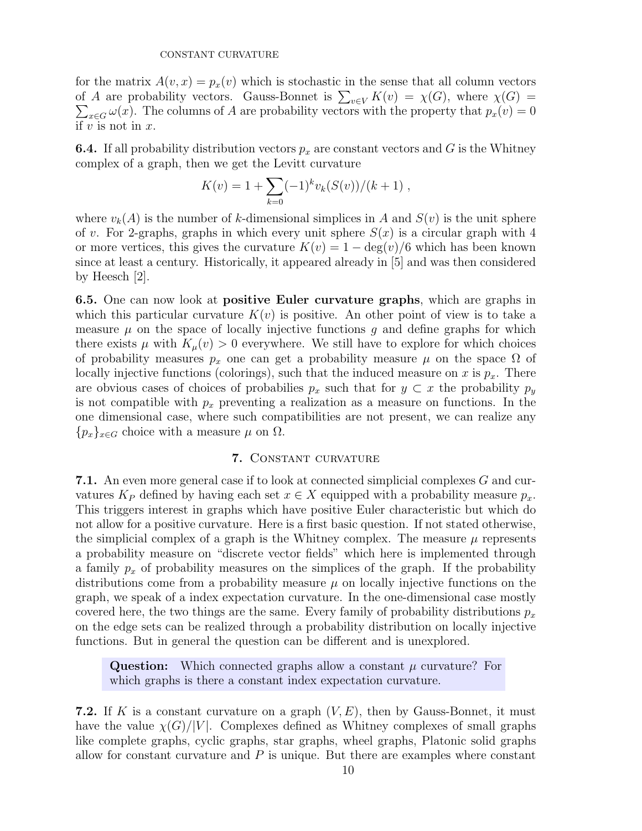for the matrix  $A(v, x) = p_x(v)$  which is stochastic in the sense that all column vectors of A are probability vectors. Gauss-Bonnet is  $\sum_{v \in V} K(v) = \chi(G)$ , where  $\chi(G) = \sum_{v \in G} \omega(x)$ . The columns of A are probability vectors with the property that  $p_x(v) = 0$  $\sum_{x\in G}\omega(x)$ . The columns of A are probability vectors with the property that  $p_x(v) = 0$ if  $v$  is not in  $x$ .

**6.4.** If all probability distribution vectors  $p_x$  are constant vectors and G is the Whitney complex of a graph, then we get the Levitt curvature

$$
K(v) = 1 + \sum_{k=0}^{\infty} (-1)^k v_k(S(v))/(k+1) ,
$$

where  $v_k(A)$  is the number of k-dimensional simplices in A and  $S(v)$  is the unit sphere of v. For 2-graphs, graphs in which every unit sphere  $S(x)$  is a circular graph with 4 or more vertices, this gives the curvature  $K(v) = 1 - \deg(v)/6$  which has been known since at least a century. Historically, it appeared already in [5] and was then considered by Heesch [2].

6.5. One can now look at positive Euler curvature graphs, which are graphs in which this particular curvature  $K(v)$  is positive. An other point of view is to take a measure  $\mu$  on the space of locally injective functions q and define graphs for which there exists  $\mu$  with  $K_{\mu}(v) > 0$  everywhere. We still have to explore for which choices of probability measures  $p_x$  one can get a probability measure  $\mu$  on the space  $\Omega$  of locally injective functions (colorings), such that the induced measure on x is  $p_x$ . There are obvious cases of choices of probabilies  $p_x$  such that for  $y \subset x$  the probability  $p_y$ is not compatible with  $p_x$  preventing a realization as a measure on functions. In the one dimensional case, where such compatibilities are not present, we can realize any  ${p_x}_{x \in G}$  choice with a measure  $\mu$  on  $\Omega$ .

## 7. Constant curvature

7.1. An even more general case if to look at connected simplicial complexes G and curvatures  $K_P$  defined by having each set  $x \in X$  equipped with a probability measure  $p_x$ . This triggers interest in graphs which have positive Euler characteristic but which do not allow for a positive curvature. Here is a first basic question. If not stated otherwise, the simplicial complex of a graph is the Whitney complex. The measure  $\mu$  represents a probability measure on "discrete vector fields" which here is implemented through a family  $p_x$  of probability measures on the simplices of the graph. If the probability distributions come from a probability measure  $\mu$  on locally injective functions on the graph, we speak of a index expectation curvature. In the one-dimensional case mostly covered here, the two things are the same. Every family of probability distributions  $p_x$ on the edge sets can be realized through a probability distribution on locally injective functions. But in general the question can be different and is unexplored.

**Question:** Which connected graphs allow a constant  $\mu$  curvature? For which graphs is there a constant index expectation curvature.

**7.2.** If K is a constant curvature on a graph  $(V, E)$ , then by Gauss-Bonnet, it must have the value  $\chi(G)/|V|$ . Complexes defined as Whitney complexes of small graphs like complete graphs, cyclic graphs, star graphs, wheel graphs, Platonic solid graphs allow for constant curvature and  $P$  is unique. But there are examples where constant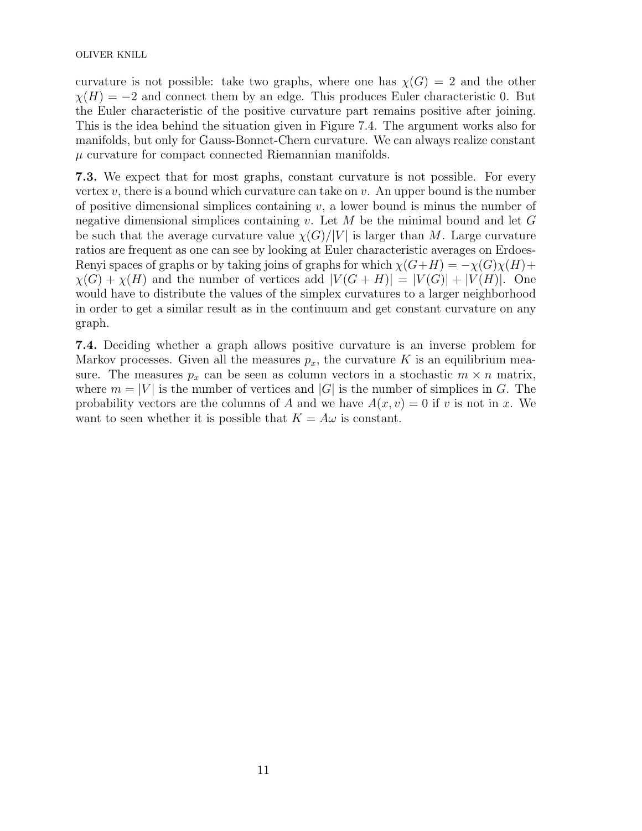curvature is not possible: take two graphs, where one has  $\chi(G) = 2$  and the other  $\chi(H) = -2$  and connect them by an edge. This produces Euler characteristic 0. But the Euler characteristic of the positive curvature part remains positive after joining. This is the idea behind the situation given in Figure 7.4. The argument works also for manifolds, but only for Gauss-Bonnet-Chern curvature. We can always realize constant  $\mu$  curvature for compact connected Riemannian manifolds.

7.3. We expect that for most graphs, constant curvature is not possible. For every vertex  $v$ , there is a bound which curvature can take on  $v$ . An upper bound is the number of positive dimensional simplices containing  $v$ , a lower bound is minus the number of negative dimensional simplices containing v. Let  $M$  be the minimal bound and let  $G$ be such that the average curvature value  $\chi(G)/|V|$  is larger than M. Large curvature ratios are frequent as one can see by looking at Euler characteristic averages on Erdoes-Renyi spaces of graphs or by taking joins of graphs for which  $\chi(G+H) = -\chi(G)\chi(H) +$  $\chi(G) + \chi(H)$  and the number of vertices add  $|V(G + H)| = |V(G)| + |V(H)|$ . One would have to distribute the values of the simplex curvatures to a larger neighborhood in order to get a similar result as in the continuum and get constant curvature on any graph.

7.4. Deciding whether a graph allows positive curvature is an inverse problem for Markov processes. Given all the measures  $p_x$ , the curvature K is an equilibrium measure. The measures  $p_x$  can be seen as column vectors in a stochastic  $m \times n$  matrix, where  $m = |V|$  is the number of vertices and  $|G|$  is the number of simplices in G. The probability vectors are the columns of A and we have  $A(x, v) = 0$  if v is not in x. We want to seen whether it is possible that  $K = A\omega$  is constant.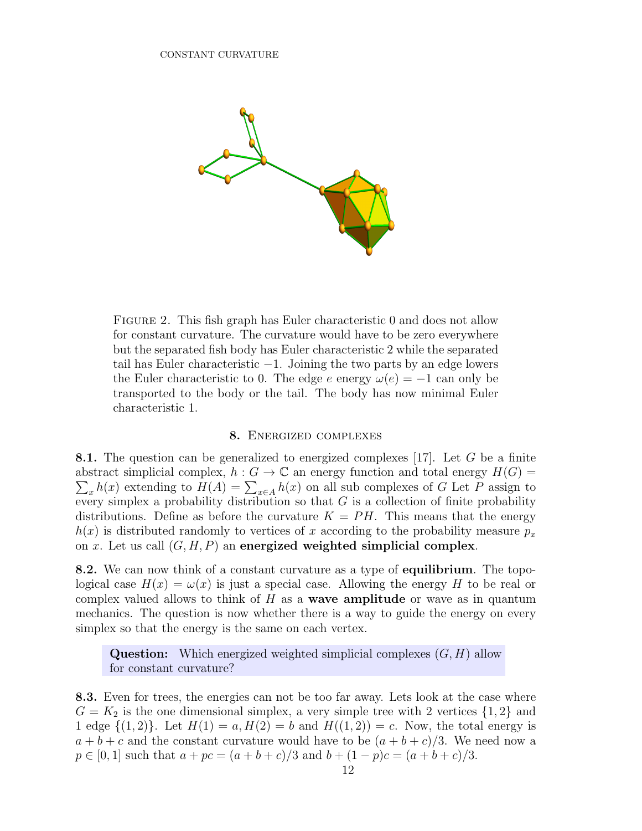

FIGURE 2. This fish graph has Euler characteristic 0 and does not allow for constant curvature. The curvature would have to be zero everywhere but the separated fish body has Euler characteristic 2 while the separated tail has Euler characteristic −1. Joining the two parts by an edge lowers the Euler characteristic to 0. The edge e energy  $\omega(e) = -1$  can only be transported to the body or the tail. The body has now minimal Euler characteristic 1.

### 8. Energized complexes

8.1. The question can be generalized to energized complexes [17]. Let G be a finite  $\sum_{x} h(x)$  extending to  $H(A) = \sum_{x \in A} h(x)$  on all sub complexes of G Let P assign to abstract simplicial complex,  $h : G \to \mathbb{C}$  an energy function and total energy  $H(G)$  = every simplex a probability distribution so that  $G$  is a collection of finite probability distributions. Define as before the curvature  $K = PH$ . This means that the energy  $h(x)$  is distributed randomly to vertices of x according to the probability measure  $p_x$ on x. Let us call  $(G, H, P)$  an energized weighted simplicial complex.

8.2. We can now think of a constant curvature as a type of equilibrium. The topological case  $H(x) = \omega(x)$  is just a special case. Allowing the energy H to be real or complex valued allows to think of  $H$  as a **wave amplitude** or wave as in quantum mechanics. The question is now whether there is a way to guide the energy on every simplex so that the energy is the same on each vertex.

**Question:** Which energized weighted simplicial complexes  $(G, H)$  allow for constant curvature?

8.3. Even for trees, the energies can not be too far away. Lets look at the case where  $G = K_2$  is the one dimensional simplex, a very simple tree with 2 vertices  $\{1,2\}$  and 1 edge  $\{(1,2)\}\$ . Let  $H(1) = a, H(2) = b$  and  $H((1,2)) = c$ . Now, the total energy is  $a + b + c$  and the constant curvature would have to be  $(a + b + c)/3$ . We need now a  $p \in [0, 1]$  such that  $a + pc = (a + b + c)/3$  and  $b + (1 - p)c = (a + b + c)/3$ .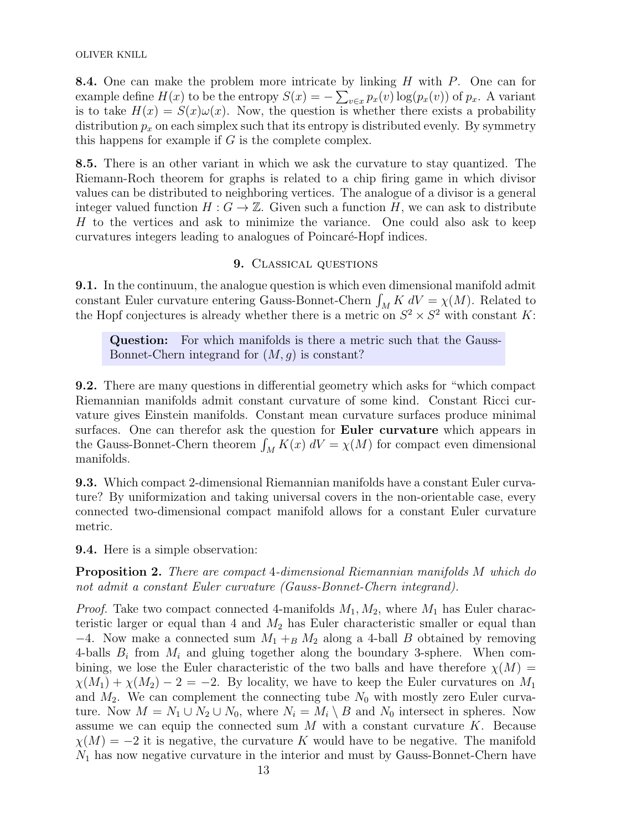OLIVER KNILL

**8.4.** One can make the problem more intricate by linking  $H$  with  $P$ . One can for example define  $H(x)$  to be the entropy  $S(x) = -\sum_{v \in x} p_x(v) \log(p_x(v))$  of  $p_x$ . A variant is to take  $H(x) = S(x)\omega(x)$ . Now, the question is whether there exists a probability distribution  $p_x$  on each simplex such that its entropy is distributed evenly. By symmetry this happens for example if  $G$  is the complete complex.

8.5. There is an other variant in which we ask the curvature to stay quantized. The Riemann-Roch theorem for graphs is related to a chip firing game in which divisor values can be distributed to neighboring vertices. The analogue of a divisor is a general integer valued function  $H: G \to \mathbb{Z}$ . Given such a function H, we can ask to distribute H to the vertices and ask to minimize the variance. One could also ask to keep curvatures integers leading to analogues of Poincaré-Hopf indices.

## 9. Classical questions

9.1. In the continuum, the analogue question is which even dimensional manifold admit constant Euler curvature entering Gauss-Bonnet-Chern  $\int_M K dV = \chi(M)$ . Related to the Hopf conjectures is already whether there is a metric on  $S^2 \times S^2$  with constant K:

Question: For which manifolds is there a metric such that the Gauss-Bonnet-Chern integrand for  $(M, g)$  is constant?

9.2. There are many questions in differential geometry which asks for "which compact Riemannian manifolds admit constant curvature of some kind. Constant Ricci curvature gives Einstein manifolds. Constant mean curvature surfaces produce minimal surfaces. One can therefor ask the question for Euler curvature which appears in the Gauss-Bonnet-Chern theorem  $\int_M K(x) dV = \chi(M)$  for compact even dimensional manifolds.

9.3. Which compact 2-dimensional Riemannian manifolds have a constant Euler curvature? By uniformization and taking universal covers in the non-orientable case, every connected two-dimensional compact manifold allows for a constant Euler curvature metric.

9.4. Here is a simple observation:

Proposition 2. There are compact 4-dimensional Riemannian manifolds M which do not admit a constant Euler curvature (Gauss-Bonnet-Chern integrand).

*Proof.* Take two compact connected 4-manifolds  $M_1, M_2$ , where  $M_1$  has Euler characteristic larger or equal than 4 and  $M_2$  has Euler characteristic smaller or equal than  $-4$ . Now make a connected sum  $M_1 +_B M_2$  along a 4-ball B obtained by removing 4-balls  $B_i$  from  $M_i$  and gluing together along the boundary 3-sphere. When combining, we lose the Euler characteristic of the two balls and have therefore  $\chi(M)$  =  $\chi(M_1) + \chi(M_2) - 2 = -2$ . By locality, we have to keep the Euler curvatures on  $M_1$ and  $M_2$ . We can complement the connecting tube  $N_0$  with mostly zero Euler curvature. Now  $M = N_1 \cup N_2 \cup N_0$ , where  $N_i = M_i \setminus B$  and  $N_0$  intersect in spheres. Now assume we can equip the connected sum  $M$  with a constant curvature  $K$ . Because  $\chi(M) = -2$  it is negative, the curvature K would have to be negative. The manifold  $N_1$  has now negative curvature in the interior and must by Gauss-Bonnet-Chern have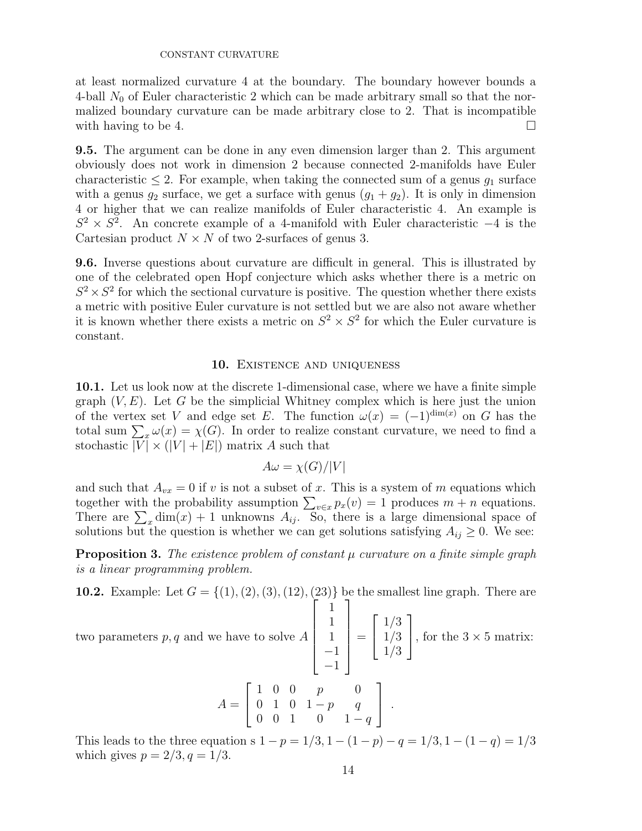at least normalized curvature 4 at the boundary. The boundary however bounds a 4-ball  $N_0$  of Euler characteristic 2 which can be made arbitrary small so that the normalized boundary curvature can be made arbitrary close to 2. That is incompatible with having to be 4.  $\Box$ 

9.5. The argument can be done in any even dimension larger than 2. This argument obviously does not work in dimension 2 because connected 2-manifolds have Euler characteristic  $\leq 2$ . For example, when taking the connected sum of a genus  $g_1$  surface with a genus  $g_2$  surface, we get a surface with genus  $(g_1 + g_2)$ . It is only in dimension 4 or higher that we can realize manifolds of Euler characteristic 4. An example is  $S^2 \times S^2$ . An concrete example of a 4-manifold with Euler characteristic -4 is the Cartesian product  $N \times N$  of two 2-surfaces of genus 3.

9.6. Inverse questions about curvature are difficult in general. This is illustrated by one of the celebrated open Hopf conjecture which asks whether there is a metric on  $S^2 \times S^2$  for which the sectional curvature is positive. The question whether there exists a metric with positive Euler curvature is not settled but we are also not aware whether it is known whether there exists a metric on  $S^2 \times S^2$  for which the Euler curvature is constant.

### 10. EXISTENCE AND UNIQUENESS

10.1. Let us look now at the discrete 1-dimensional case, where we have a finite simple graph  $(V, E)$ . Let G be the simplicial Whitney complex which is here just the union of the vertex set V and edge set E. The function  $\omega(x) = (-1)^{\dim(x)}$  on G has the total sum  $\sum_{x} \omega(x) = \chi(G)$ . In order to realize constant curvature, we need to find a stochastic  $|\overline{V}| \times (|V| + |E|)$  matrix A such that

$$
A\omega = \chi(G)/|V|
$$

and such that  $A_{vx} = 0$  if v is not a subset of x. This is a system of m equations which together with the probability assumption  $\sum_{v \in x} p_x(v) = 1$  produces  $m + n$  equations. There are  $\sum_{x}$  dim(x) + 1 unknowns  $A_{ij}$ . So, there is a large dimensional space of solutions but the question is whether we can get solutions satisfying  $A_{ij} \geq 0$ . We see:

**Proposition 3.** The existence problem of constant  $\mu$  curvature on a finite simple graph is a linear programming problem.

**10.2.** Example: Let  $G = \{(1), (2), (3), (12), (23)\}$  be the smallest line graph. There are  $\sqrt{ }$ 1 1

two parameters  $p, q$  and we have to solve  $A$ 

 1 1 −1 −1  $\begin{array}{c} \begin{array}{c} \begin{array}{c} \end{array} \\ \begin{array}{c} \end{array} \end{array} \end{array}$ =  $\sqrt{ }$  $\vert$ 1/3 1/3 1/3 1 , for the  $3 \times 5$  matrix:

$$
A = \left[ \begin{array}{rrrrr} 1 & 0 & 0 & p & 0 \\ 0 & 1 & 0 & 1-p & q \\ 0 & 0 & 1 & 0 & 1-q \end{array} \right] .
$$

This leads to the three equation s  $1 - p = 1/3$ ,  $1 - (1 - p) - q = 1/3$ ,  $1 - (1 - q) = 1/3$ which gives  $p = 2/3, q = 1/3$ .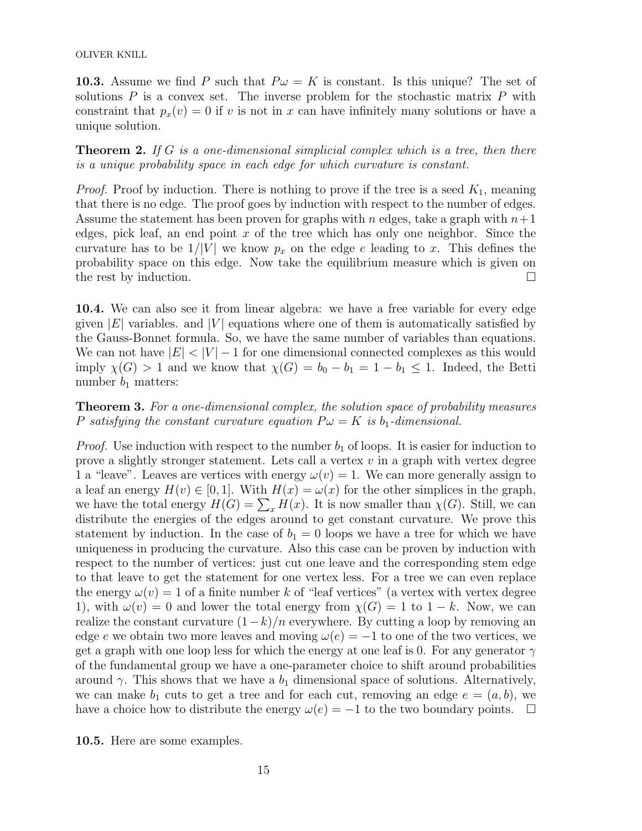10.3. Assume we find P such that  $P\omega = K$  is constant. Is this unique? The set of solutions  $P$  is a convex set. The inverse problem for the stochastic matrix  $P$  with constraint that  $p_x(v) = 0$  if v is not in x can have infinitely many solutions or have a unique solution.

**Theorem 2.** If G is a one-dimensional simplicial complex which is a tree, then there is a unique probability space in each edge for which curvature is constant.

*Proof.* Proof by induction. There is nothing to prove if the tree is a seed  $K_1$ , meaning that there is no edge. The proof goes by induction with respect to the number of edges. Assume the statement has been proven for graphs with n edges, take a graph with  $n+1$ edges, pick leaf, an end point  $x$  of the tree which has only one neighbor. Since the curvature has to be  $1/|V|$  we know  $p_x$  on the edge e leading to x. This defines the probability space on this edge. Now take the equilibrium measure which is given on the rest by induction.  $\square$ 

10.4. We can also see it from linear algebra: we have a free variable for every edge given  $|E|$  variables. and  $|V|$  equations where one of them is automatically satisfied by the Gauss-Bonnet formula. So, we have the same number of variables than equations. We can not have  $|E| < |V| - 1$  for one dimensional connected complexes as this would imply  $\chi(G) > 1$  and we know that  $\chi(G) = b_0 - b_1 = 1 - b_1 \leq 1$ . Indeed, the Betti number  $b_1$  matters:

Theorem 3. For a one-dimensional complex, the solution space of probability measures P satisfying the constant curvature equation  $P\omega = K$  is  $b_1$ -dimensional.

*Proof.* Use induction with respect to the number  $b_1$  of loops. It is easier for induction to prove a slightly stronger statement. Lets call a vertex  $v$  in a graph with vertex degree 1 a "leave". Leaves are vertices with energy  $\omega(v) = 1$ . We can more generally assign to a leaf an energy  $H(v) \in [0, 1]$ . With  $H(x) = \omega(x)$  for the other simplices in the graph, we have the total energy  $H(G) = \sum_x H(x)$ . It is now smaller than  $\chi(G)$ . Still, we can distribute the energies of the edges around to get constant curvature. We prove this statement by induction. In the case of  $b_1 = 0$  loops we have a tree for which we have uniqueness in producing the curvature. Also this case can be proven by induction with respect to the number of vertices: just cut one leave and the corresponding stem edge to that leave to get the statement for one vertex less. For a tree we can even replace the energy  $\omega(v) = 1$  of a finite number k of "leaf vertices" (a vertex with vertex degree 1), with  $\omega(v) = 0$  and lower the total energy from  $\chi(G) = 1$  to  $1 - k$ . Now, we can realize the constant curvature  $(1-k)/n$  everywhere. By cutting a loop by removing an edge e we obtain two more leaves and moving  $\omega(e) = -1$  to one of the two vertices, we get a graph with one loop less for which the energy at one leaf is 0. For any generator  $\gamma$ of the fundamental group we have a one-parameter choice to shift around probabilities around  $\gamma$ . This shows that we have a  $b_1$  dimensional space of solutions. Alternatively, we can make  $b_1$  cuts to get a tree and for each cut, removing an edge  $e = (a, b)$ , we have a choice how to distribute the energy  $\omega(e) = -1$  to the two boundary points.  $\Box$ 

10.5. Here are some examples.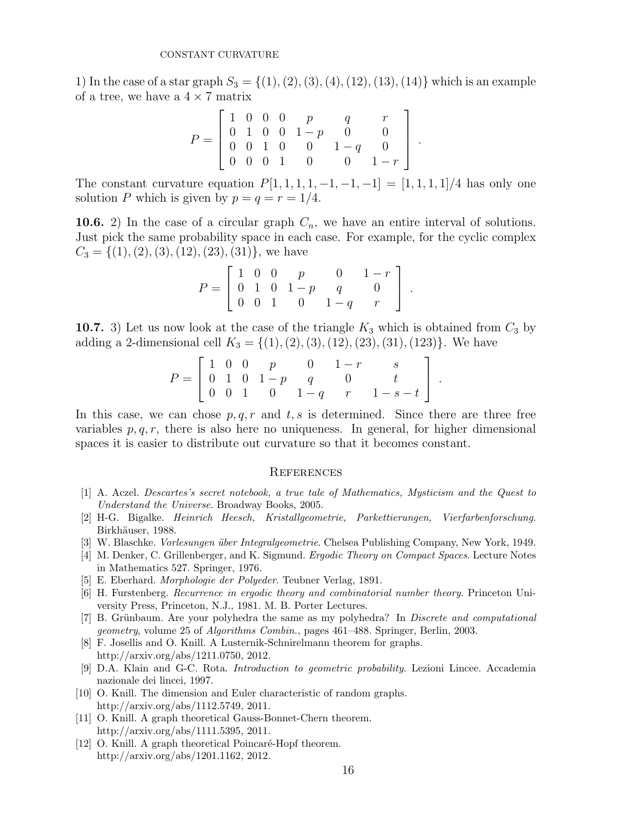1) In the case of a star graph  $S_3 = \{(1), (2), (3), (4), (12), (13), (14)\}\$  which is an example of a tree, we have a  $4 \times 7$  matrix

$$
P = \left[ \begin{array}{cccccc} 1 & 0 & 0 & 0 & p & q & r \\ 0 & 1 & 0 & 0 & 1-p & 0 & 0 \\ 0 & 0 & 1 & 0 & 0 & 1-q & 0 \\ 0 & 0 & 0 & 1 & 0 & 0 & 1-r \end{array} \right]
$$

.

The constant curvature equation  $P[1, 1, 1, 1, -1, -1, -1] = [1, 1, 1, 1]/4$  has only one solution P which is given by  $p = q = r = 1/4$ .

**10.6.** 2) In the case of a circular graph  $C_n$ , we have an entire interval of solutions. Just pick the same probability space in each case. For example, for the cyclic complex  $C_3 = \{(1), (2), (3), (12), (23), (31)\}\text{, we have}$ 

$$
P = \left[ \begin{array}{cccc} 1 & 0 & 0 & p & 0 & 1-r \\ 0 & 1 & 0 & 1-p & q & 0 \\ 0 & 0 & 1 & 0 & 1-q & r \end{array} \right] .
$$

10.7. 3) Let us now look at the case of the triangle  $K_3$  which is obtained from  $C_3$  by adding a 2-dimensional cell  $K_3 = \{(1), (2), (3), (12), (23), (31), (123)\}.$  We have

$$
P = \left[ \begin{array}{cccccc} 1 & 0 & 0 & p & 0 & 1-r & s \\ 0 & 1 & 0 & 1-p & q & 0 & t \\ 0 & 0 & 1 & 0 & 1-q & r & 1-s-t \end{array} \right].
$$

In this case, we can chose  $p, q, r$  and  $t, s$  is determined. Since there are three free variables  $p, q, r$ , there is also here no uniqueness. In general, for higher dimensional spaces it is easier to distribute out curvature so that it becomes constant.

#### **REFERENCES**

- [1] A. Aczel. Descartes's secret notebook, a true tale of Mathematics, Mysticism and the Quest to Understand the Universe. Broadway Books, 2005.
- [2] H-G. Bigalke. Heinrich Heesch, Kristallgeometrie, Parkettierungen, Vierfarbenforschung. Birkhäuser, 1988.
- [3] W. Blaschke. *Vorlesungen über Integralgeometrie*. Chelsea Publishing Company, New York, 1949.
- [4] M. Denker, C. Grillenberger, and K. Sigmund. Ergodic Theory on Compact Spaces. Lecture Notes in Mathematics 527. Springer, 1976.
- [5] E. Eberhard. Morphologie der Polyeder. Teubner Verlag, 1891.
- [6] H. Furstenberg. Recurrence in ergodic theory and combinatorial number theory. Princeton University Press, Princeton, N.J., 1981. M. B. Porter Lectures.
- [7] B. Grünbaum. Are your polyhedra the same as my polyhedra? In *Discrete and computational* geometry, volume 25 of Algorithms Combin., pages 461–488. Springer, Berlin, 2003.
- [8] F. Josellis and O. Knill. A Lusternik-Schnirelmann theorem for graphs. http://arxiv.org/abs/1211.0750, 2012.
- [9] D.A. Klain and G-C. Rota. Introduction to geometric probability. Lezioni Lincee. Accademia nazionale dei lincei, 1997.
- [10] O. Knill. The dimension and Euler characteristic of random graphs. http://arxiv.org/abs/1112.5749, 2011.
- [11] O. Knill. A graph theoretical Gauss-Bonnet-Chern theorem. http://arxiv.org/abs/1111.5395, 2011.
- [12] O. Knill. A graph theoretical Poincaré-Hopf theorem. http://arxiv.org/abs/1201.1162, 2012.